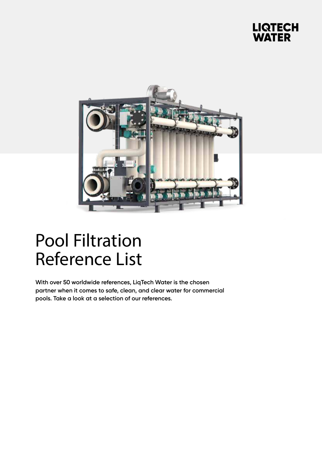## **LIQTECH<br>WATER**



## Pool Filtration Reference List

**With over 50 worldwide references, LiqTech Water is the chosen partner when it comes to safe, clean, and clear water for commercial pools. Take a look at a selection of our references.**